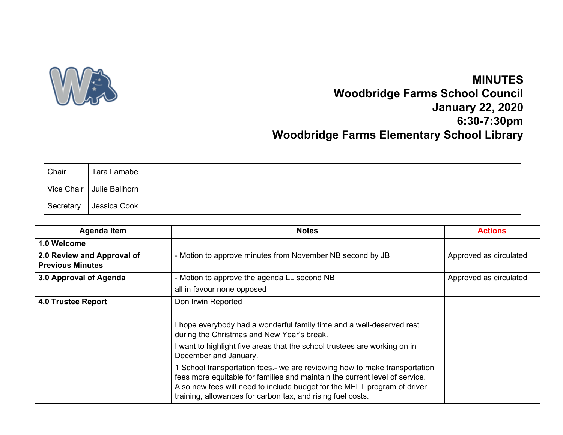

## **MINUTES Woodbridge Farms School Council January 22, 2020 6:30-7:30pm Woodbridge Farms Elementary School Library**

| Chair     | Tara Lamabe                 |
|-----------|-----------------------------|
|           | Vice Chair   Julie Ballhorn |
| Secretary | Jessica Cook                |

| <b>Agenda Item</b>                                    | <b>Notes</b>                                                                                                                                                                                                                                                                                       | <b>Actions</b>         |
|-------------------------------------------------------|----------------------------------------------------------------------------------------------------------------------------------------------------------------------------------------------------------------------------------------------------------------------------------------------------|------------------------|
| 1.0 Welcome                                           |                                                                                                                                                                                                                                                                                                    |                        |
| 2.0 Review and Approval of<br><b>Previous Minutes</b> | - Motion to approve minutes from November NB second by JB                                                                                                                                                                                                                                          | Approved as circulated |
| 3.0 Approval of Agenda                                | - Motion to approve the agenda LL second NB                                                                                                                                                                                                                                                        | Approved as circulated |
|                                                       | all in favour none opposed                                                                                                                                                                                                                                                                         |                        |
| <b>4.0 Trustee Report</b>                             | Don Irwin Reported                                                                                                                                                                                                                                                                                 |                        |
|                                                       | I hope everybody had a wonderful family time and a well-deserved rest<br>during the Christmas and New Year's break.                                                                                                                                                                                |                        |
|                                                       | want to highlight five areas that the school trustees are working on in<br>December and January.                                                                                                                                                                                                   |                        |
|                                                       | School transportation fees.- we are reviewing how to make transportation<br>fees more equitable for families and maintain the current level of service.<br>Also new fees will need to include budget for the MELT program of driver<br>training, allowances for carbon tax, and rising fuel costs. |                        |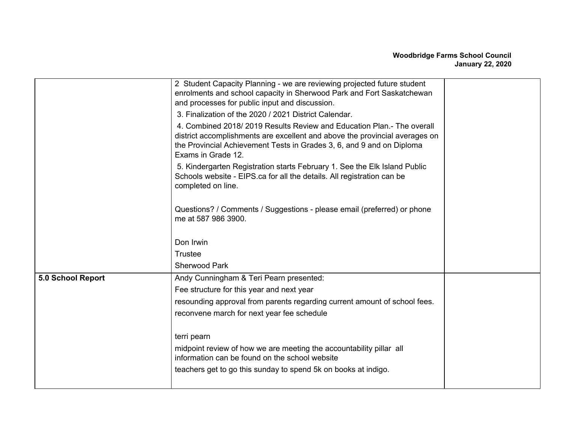|                   | 2 Student Capacity Planning - we are reviewing projected future student<br>enrolments and school capacity in Sherwood Park and Fort Saskatchewan<br>and processes for public input and discussion.                                                  |  |
|-------------------|-----------------------------------------------------------------------------------------------------------------------------------------------------------------------------------------------------------------------------------------------------|--|
|                   | 3. Finalization of the 2020 / 2021 District Calendar.                                                                                                                                                                                               |  |
|                   | 4. Combined 2018/2019 Results Review and Education Plan.- The overall<br>district accomplishments are excellent and above the provincial averages on<br>the Provincial Achievement Tests in Grades 3, 6, and 9 and on Diploma<br>Exams in Grade 12. |  |
|                   | 5. Kindergarten Registration starts February 1. See the Elk Island Public<br>Schools website - EIPS.ca for all the details. All registration can be<br>completed on line.                                                                           |  |
|                   | Questions? / Comments / Suggestions - please email (preferred) or phone<br>me at 587 986 3900.                                                                                                                                                      |  |
|                   | Don Irwin                                                                                                                                                                                                                                           |  |
|                   | <b>Trustee</b>                                                                                                                                                                                                                                      |  |
|                   | <b>Sherwood Park</b>                                                                                                                                                                                                                                |  |
| 5.0 School Report | Andy Cunningham & Teri Pearn presented:                                                                                                                                                                                                             |  |
|                   | Fee structure for this year and next year                                                                                                                                                                                                           |  |
|                   | resounding approval from parents regarding current amount of school fees.                                                                                                                                                                           |  |
|                   | reconvene march for next year fee schedule                                                                                                                                                                                                          |  |
|                   | terri pearn                                                                                                                                                                                                                                         |  |
|                   | midpoint review of how we are meeting the accountability pillar all<br>information can be found on the school website                                                                                                                               |  |
|                   | teachers get to go this sunday to spend 5k on books at indigo.                                                                                                                                                                                      |  |
|                   |                                                                                                                                                                                                                                                     |  |